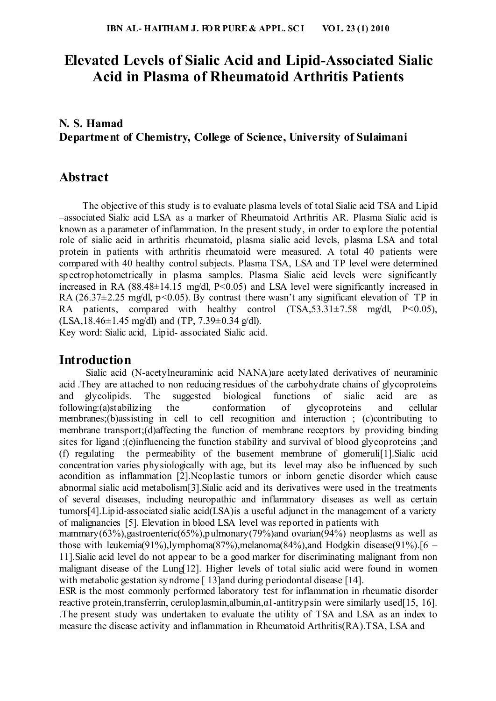# **Elevated Levels of Sialic Acid and Lipid-Associated Sialic Acid in Plasma of Rheumatoid Arthritis Patients**

## **N. S. Hamad Department of Chemistry, College of Science, University of Sulaimani**

## **Abstract**

The objective of this study is to evaluate plasma levels of total Sialic acid TSA and Lipid –associated Sialic acid LSA as a marker of Rheumatoid Arthritis AR. Plasma Sialic acid is known as a parameter of inflammation. In the present study, in order to explore the potential role of sialic acid in arthritis rheumatoid, plasma sialic acid levels, plasma LSA and total protein in patients with arthritis rheumatoid were measured. A total 40 patients were compared with 40 healthy control subjects. Plasma TSA, LSA and TP level were determined spectrophotometrically in plasma samples. Plasma Sialic acid levels were significantly increased in RA  $(88.48\pm14.15 \text{ mg/dl}, P<0.05)$  and LSA level were significantly increased in RA (26.37 $\pm$ 2.25 mg/dl, p<0.05). By contrast there wasn't any significant elevation of TP in RA patients, compared with healthy control  $(TSA, 53.31 \pm 7.58 \text{ mg/dl}, P<0.05)$ ,  $(LSA, 18.46 \pm 1.45 \text{ mg/dl})$  and  $(TP, 7.39 \pm 0.34 \text{ g/dl}).$ 

Key word: Sialic acid, Lipid- associated Sialic acid.

## **Introduction**

Sialic acid (N-acetylneuraminic acid NANA)are acetylated derivatives of neuraminic acid .They are attached to non reducing residues of the carbohydrate chains of glycoproteins and glycolipids. The suggested biological functions of sialic acid are as following: (a) stabilizing the conformation of glycoproteins and cellular following:(a)stabilizing the conformation of glycoproteins and cellular membranes;(b)assisting in cell to cell recognition and interaction ; (c)contributing to membrane transport;(d)affecting the function of membrane receptors by providing binding sites for ligand ;(e)influencing the function stability and survival of blood glycoproteins ;and (f) regulating the permeability of the basement membrane of glomeruli[1].Sialic acid concentration varies physiologically with age, but its level may also be influenced by such acondition as inflammation [2].Neoplastic tumors or inborn genetic disorder which cause abnormal sialic acid metabolism[3].Sialic acid and its derivatives were used in the treatments of several diseases, including neuropathic and inflammatory diseases as well as certain tumors[4].Lipid-associated sialic acid(LSA)is a useful adjunct in the management of a variety of malignancies [5]. Elevation in blood LSA level was reported in patients with

mammary(63%),gastroenteric(65%),pulmonary(79%)and ovarian(94%) neoplasms as well as those with leukemia(91%),lymphoma(87%),melanoma(84%),and Hodgkin disease(91%).[6 – 11].Sialic acid level do not appear to be a good marker for discriminating malignant from non malignant disease of the Lung[12]. Higher levels of total sialic acid were found in women with metabolic gestation syndrome [13]and during periodontal disease [14].

ESR is the most commonly performed laboratory test for inflammation in rheumatic disorder reactive protein,transferrin, ceruloplasmin,albumin,α1-antitrypsin were similarly used[15, 16]. .The present study was undertaken to evaluate the utility of TSA and LSA as an index to measure the disease activity and inflammation in Rheumatoid Arthritis(RA).TSA, LSA and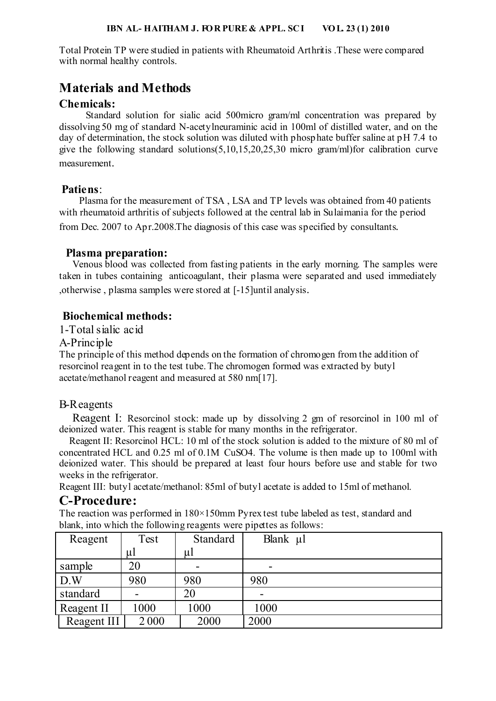Total Protein TP were studied in patients with Rheumatoid Arthritis .These were compared with normal healthy controls.

## **Materials and Methods**

### **Chemicals:**

 Standard solution for sialic acid 500micro gram/ml concentration was prepared by dissolving 50 mg of standard N-acetylneuraminic acid in 100ml of distilled water, and on the day of determination, the stock solution was diluted with phosphate buffer saline at pH 7.4 to give the following standard solutions(5,10,15,20,25,30 micro gram/ml)for calibration curve measurement.

### **Patiens**:

 Plasma for the measurement of TSA , LSA and TP levels was obtained from 40 patients with rheumatoid arthritis of subjects followed at the central lab in Sulaimania for the period from Dec. 2007 to Apr.2008.The diagnosis of this case was specified by consultants.

#### **Plasma preparation:**

 Venous blood was collected from fasting patients in the early morning. The samples were taken in tubes containing anticoagulant, their plasma were separated and used immediately ,otherwise , plasma samples were stored at [-15]until analysis.

### **Biochemical methods:**

1-Total sialic acid

#### A-Principle

The principle of this method depends on the formation of chromogen from the addition of resorcinol reagent in to the test tube. The chromogen formed was extracted by butyl acetate/methanol reagent and measured at 580 nm[17].

### B-Reagents

 Reagent I: Resorcinol stock: made up by dissolving 2 gm of resorcinol in 100 ml of deionized water. This reagent is stable for many months in the refrigerator.

 Reagent II: Resorcinol HCL: 10 ml of the stock solution is added to the mixture of 80 ml of concentrated HCL and 0.25 ml of 0.1M CuSO4. The volume is then made up to 100ml with deionized water. This should be prepared at least four hours before use and stable for two weeks in the refrigerator.

Reagent III: butyl acetate/methanol: 85ml of butyl acetate is added to 15ml of methanol.

## **C-Procedure:**

The reaction was performed in  $180\times150$  mm Pyrex test tube labeled as test, standard and blank, into which the following reagents were pipettes as follows:

| Reagent     | Test  | <b>Standard</b> | Blank µl                 |
|-------------|-------|-----------------|--------------------------|
|             | $\mu$ | ul              |                          |
| sample      | 20    |                 | $\overline{\phantom{0}}$ |
| D.W         | 980   | 980             | 980                      |
| standard    |       | 20              |                          |
| Reagent II  | 1000  | 1000            | 1000                     |
| Reagent III | 2000  | 2000            | 2000                     |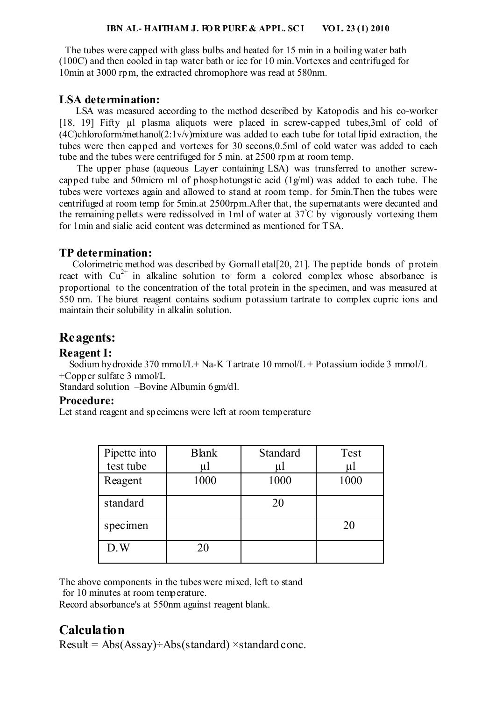#### **IBN AL- HAITHAM J. FOR PURE & APPL. SCI VOL. 23 (1) 2010**

 The tubes were capped with glass bulbs and heated for 15 min in a boiling water bath (100C) and then cooled in tap water bath or ice for 10 min.Vortexes and centrifuged for 10min at 3000 rpm, the extracted chromophore was read at 580nm.

## **LSA determination:**

 LSA was measured according to the method described by Katopodis and his co-worker [18, 19] Fifty ul plasma aliquots were placed in screw-capped tubes, 3ml of cold of (4C)chloroform/methanol(2:1v/v)mixture was added to each tube for total lipid extraction, the tubes were then capped and vortexes for 30 secons,0.5ml of cold water was added to each tube and the tubes were centrifuged for 5 min. at 2500 rpm at room temp.

 The upper phase (aqueous Layer containing LSA) was transferred to another screwcapped tube and 50micro ml of phosphotungstic acid (1g/ml) was added to each tube. The tubes were vortexes again and allowed to stand at room temp. for 5min.Then the tubes were centrifuged at room temp for 5min.at 2500rpm.After that, the supernatants were decanted and the remaining pellets were redissolved in 1ml of water at 37°C by vigorously vortexing them for 1min and sialic acid content was determined as mentioned for TSA.

### **TP determination:**

 Colorimetric method was described by Gornall etal[20, 21]. The peptide bonds of protein react with  $Cu^{2+}$  in alkaline solution to form a colored complex whose absorbance is proportional to the concentration of the total protein in the specimen, and was measured at 550 nm. The biuret reagent contains sodium potassium tartrate to complex cupric ions and maintain their solubility in alkalin solution.

## **Reagents:**

### **Reagent I:**

Sodium hydroxide 370 mmol/L + Na-K Tartrate 10 mmol/L + Potassium iodide 3 mmol/L +Copper sulfate 3 mmol/L

Standard solution –Bovine Albumin 6gm/dl.

#### **Procedure:**

Let stand reagent and specimens were left at room temperature

| Pipette into | <b>Blank</b> | Standard | Test  |
|--------------|--------------|----------|-------|
| test tube    | μl           | μl       | $\mu$ |
| Reagent      | 1000         | 1000     | 1000  |
| standard     |              | 20       |       |
| specimen     |              |          | 20    |
| D.W          | 20           |          |       |

The above components in the tubes were mixed, left to stand

for 10 minutes at room temperature.

Record absorbance's at 550nm against reagent blank.

## **Calculation**

 $Result = Abs(Assay) \div Abs(standard) \times standard cone.$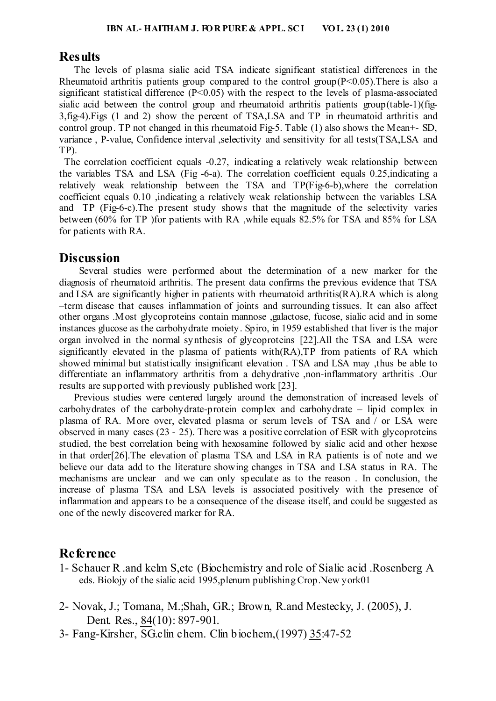#### **Results**

 The levels of plasma sialic acid TSA indicate significant statistical differences in the Rheumatoid arthritis patients group compared to the control group( $P \le 0.05$ ). There is also a significant statistical difference  $(P<0.05)$  with the respect to the levels of plasma-associated sialic acid between the control group and rheumatoid arthritis patients group(table-1)(fig-3,fig-4).Figs (1 and 2) show the percent of TSA,LSA and TP in rheumatoid arthritis and control group. TP not changed in this rheumatoid Fig-5. Table (1) also shows the Mean+- SD, variance , P-value, Confidence interval ,selectivity and sensitivity for all tests(TSA,LSA and TP).

 The correlation coefficient equals -0.27, indicating a relatively weak relationship between the variables TSA and LSA (Fig -6-a). The correlation coefficient equals 0.25,indicating a relatively weak relationship between the TSA and TP(Fig-6-b),where the correlation coefficient equals 0.10 ,indicating a relatively weak relationship between the variables LSA and TP (Fig-6-c).The present study shows that the magnitude of the selectivity varies between (60% for TP )for patients with RA ,while equals 82.5% for TSA and 85% for LSA for patients with RA.

## **Discussion**

 Several studies were performed about the determination of a new marker for the diagnosis of rheumatoid arthritis. The present data confirms the previous evidence that TSA and LSA are significantly higher in patients with rheumatoid arthritis(RA).RA which is along –term disease that causes inflammation of joints and surrounding tissues. It can also affect other organs .Most glycoproteins contain mannose ,galactose, fucose, sialic acid and in some instances glucose as the carbohydrate moiety. Spiro, in 1959 established that liver is the major organ involved in the normal synthesis of glycoproteins [22].All the TSA and LSA were significantly elevated in the plasma of patients with(RA),TP from patients of RA which showed minimal but statistically insignificant elevation . TSA and LSA may ,thus be able to differentiate an inflammatory arthritis from a dehydrative ,non-inflammatory arthritis .Our results are supported with previously published work [23].

 Previous studies were centered largely around the demonstration of increased levels of carbohydrates of the carbohydrate-protein complex and carbohydrate – lipid complex in plasma of RA. More over, elevated plasma or serum levels of TSA and / or LSA were observed in many cases (23 - 25). There was a positive correlation of ESR with glycoproteins studied, the best correlation being with hexosamine followed by sialic acid and other hexose in that order[26].The elevation of plasma TSA and LSA in RA patients is of note and we believe our data add to the literature showing changes in TSA and LSA status in RA. The mechanisms are unclear and we can only speculate as to the reason . In conclusion, the increase of plasma TSA and LSA levels is associated positively with the presence of inflammation and appears to be a consequence of the disease itself, and could be suggested as one of the newly discovered marker for RA.

## **Reference**

- 1- Schauer R .and kelm S,etc (Biochemistry and role of Sialic acid .Rosenberg A eds. Biolojy of the sialic acid 1995,plenum publishing Crop.New york01
- 2- Novak, J.; Tomana, M.;Shah, GR.; Brown, R.and Mestecky, J. (2005), J. Dent. Res., 84(10): 897-901.
- 3- Fang-Kirsher, SG.clin chem. Clin biochem, (1997) 35:47-52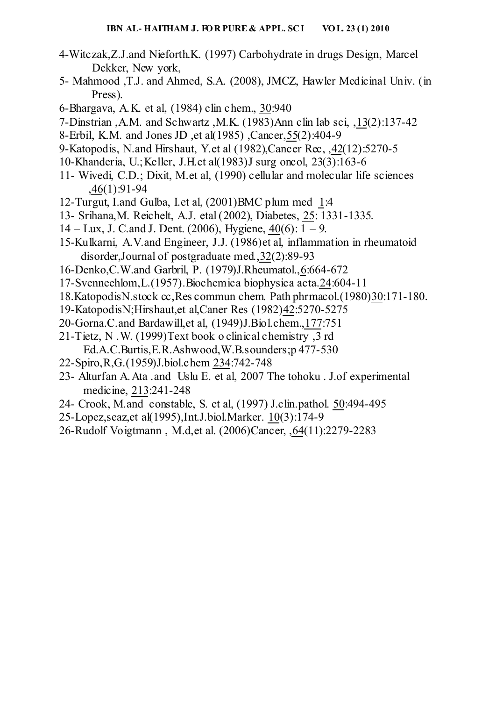- 4-Witczak,Z.J.and Nieforth.K. (1997) Carbohydrate in drugs Design, Marcel Dekker, New york,
- 5- Mahmood ,T.J. and Ahmed, S.A. (2008), JMCZ, Hawler Medicinal Univ. (in Press).
- 6-Bhargava, A.K. et al, (1984) clin chem., 30:940
- 7-Dinstrian, A.M. and Schwartz .M.K.  $(1983)$ Ann clin lab sci,  $.13(2):137-42$
- 8-Erbil, K.M. and Jones JD et al(1985) Cancer 55(2):404-9
- 9-Katopodis, N.and Hirshaut, Y.et al (1982), Cancer Rec. 42(12):5270-5
- 10-Khanderia, U.; Keller, J.H. et al $(1983)$ J surg oncol, 23 $(3)$ :163-6
- 11- Wivedi, C.D.; Dixit, M.et al, (1990) cellular and molecular life sciences  $,46(1):91-94$
- 12-Turgut, I.and Gulba. I.et al.  $(2001)$ BMC plum med 1:4
- 13- Srihana, M. Reichelt, A.J. etal (2002), Diabetes, 25: 1331-1335.
- $14 \text{Lux}$ , J. C. and J. Dent. (2006), Hygiene,  $40(6)$ :  $1 9$ .
- 15-Kulkarni, A.V.and Engineer, J.J. (1986)et al, inflammation in rheumatoid disorder, Journal of postgraduate med.  $32(2):89-93$
- 16-Denko, C.W. and Garbril, P. (1979) J. Rheumatol., 6:664-672
- $17$ -Svenneehlom, L. (1957). Biochemica biophysica acta. 24:604-11
- 18. Katopodis N. stock cc. Res commun chem. Path phrmacol. (1980) 30:171-180.
- 19-KatopodisN; Hirshaut, et al, Caner Res (1982) 42:5270-5275
- 20-Gorna.C.and Bardawill, et al,  $(1949)$  J.Biol.chem., 177:751
- 21-Tietz, N .W. (1999)Text book o clinical chemistry ,3 rd Ed.A.C.Burtis,E.R.Ashwood,W.B.sounders;p 477-530
- 22-Spiro, R,G. (1959) J.biol.chem 234:742-748
- 23- Alturfan A.Ata .and Uslu E. et al, 2007 The tohoku . J.of experimental medicine, 213:241-248
- 24- Crook, M.and constable, S. et al, (1997) J.clin.pathol. 50:494-495
- 25-Lopez, seaz, et al(1995), Int. J. biol. Marker. 10(3): 174-9
- 26-Rudolf Voigtmann, M.d,et al. (2006)Cancer, , 64(11):2279-2283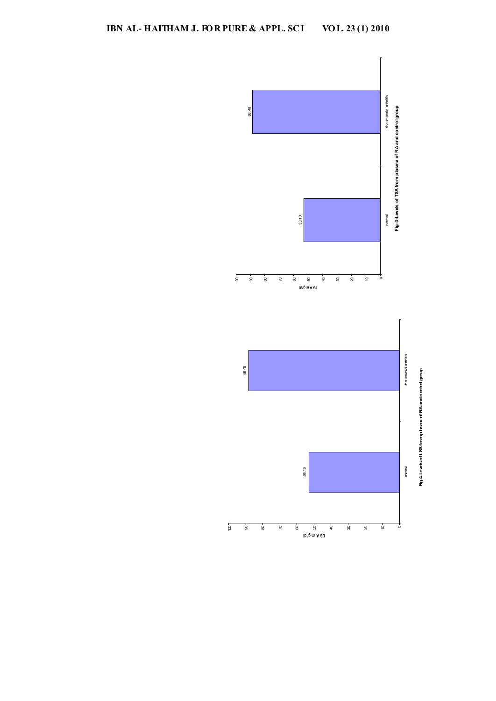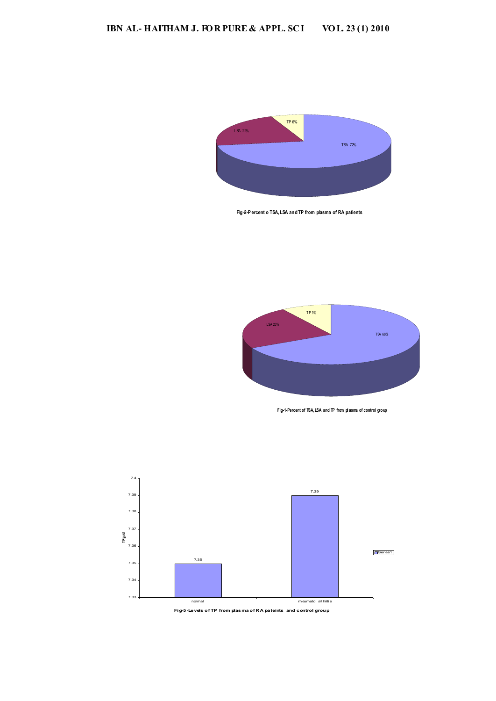

Fig 2-P ercent o TSA, LSA and TP from plasma of RA patients



**Fig-1-Percent of TSA, LSA and TP from pl asma of control group**



**Fig-5-Levels of TP from plasma of RA pateints and control group**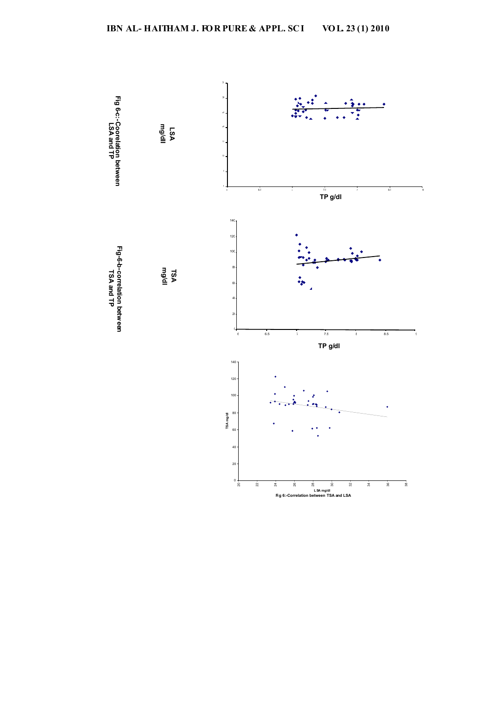